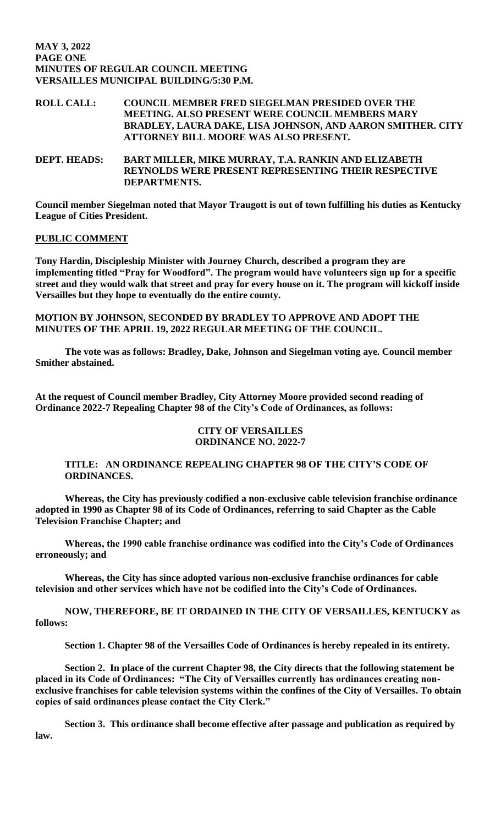## **MAY 3, 2022 PAGE ONE MINUTES OF REGULAR COUNCIL MEETING VERSAILLES MUNICIPAL BUILDING/5:30 P.M.**

# **ROLL CALL: COUNCIL MEMBER FRED SIEGELMAN PRESIDED OVER THE MEETING. ALSO PRESENT WERE COUNCIL MEMBERS MARY BRADLEY, LAURA DAKE, LISA JOHNSON, AND AARON SMITHER. CITY ATTORNEY BILL MOORE WAS ALSO PRESENT.**

**DEPT. HEADS: BART MILLER, MIKE MURRAY, T.A. RANKIN AND ELIZABETH REYNOLDS WERE PRESENT REPRESENTING THEIR RESPECTIVE DEPARTMENTS.** 

**Council member Siegelman noted that Mayor Traugott is out of town fulfilling his duties as Kentucky League of Cities President.** 

## **PUBLIC COMMENT**

**Tony Hardin, Discipleship Minister with Journey Church, described a program they are implementing titled "Pray for Woodford". The program would have volunteers sign up for a specific street and they would walk that street and pray for every house on it. The program will kickoff inside Versailles but they hope to eventually do the entire county.** 

**MOTION BY JOHNSON, SECONDED BY BRADLEY TO APPROVE AND ADOPT THE MINUTES OF THE APRIL 19, 2022 REGULAR MEETING OF THE COUNCIL.**

**The vote was as follows: Bradley, Dake, Johnson and Siegelman voting aye. Council member Smither abstained.** 

**At the request of Council member Bradley, City Attorney Moore provided second reading of Ordinance 2022-7 Repealing Chapter 98 of the City's Code of Ordinances, as follows:**

## **CITY OF VERSAILLES ORDINANCE NO. 2022-7**

## **TITLE: AN ORDINANCE REPEALING CHAPTER 98 OF THE CITY'S CODE OF ORDINANCES.**

**Whereas, the City has previously codified a non-exclusive cable television franchise ordinance adopted in 1990 as Chapter 98 of its Code of Ordinances, referring to said Chapter as the Cable Television Franchise Chapter; and**

**Whereas, the 1990 cable franchise ordinance was codified into the City's Code of Ordinances erroneously; and**

**Whereas, the City has since adopted various non-exclusive franchise ordinances for cable television and other services which have not be codified into the City's Code of Ordinances.**

**NOW, THEREFORE, BE IT ORDAINED IN THE CITY OF VERSAILLES, KENTUCKY as follows:**

**Section 1. Chapter 98 of the Versailles Code of Ordinances is hereby repealed in its entirety.**

**Section 2. In place of the current Chapter 98, the City directs that the following statement be placed in its Code of Ordinances: "The City of Versailles currently has ordinances creating nonexclusive franchises for cable television systems within the confines of the City of Versailles. To obtain copies of said ordinances please contact the City Clerk."**

**Section 3. This ordinance shall become effective after passage and publication as required by law.**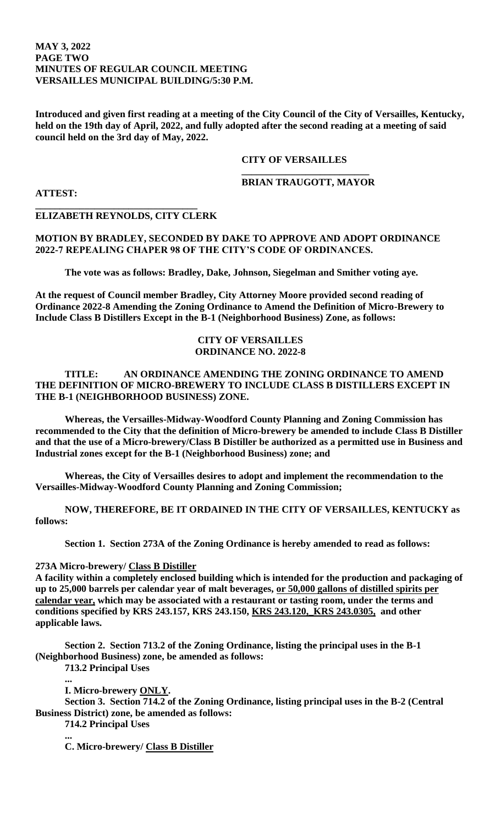## **MAY 3, 2022 PAGE TWO MINUTES OF REGULAR COUNCIL MEETING VERSAILLES MUNICIPAL BUILDING/5:30 P.M.**

**Introduced and given first reading at a meeting of the City Council of the City of Versailles, Kentucky, held on the 19th day of April, 2022, and fully adopted after the second reading at a meeting of said council held on the 3rd day of May, 2022.**

## **CITY OF VERSAILLES**

#### **\_\_\_\_\_\_\_\_\_\_\_\_\_\_\_\_\_\_\_\_\_\_\_\_\_\_ BRIAN TRAUGOTT, MAYOR**

**ATTEST:**

## **ELIZABETH REYNOLDS, CITY CLERK**

**\_\_\_\_\_\_\_\_\_\_\_\_\_\_\_\_\_\_\_\_\_\_\_\_\_\_\_\_\_\_\_\_\_** 

# **MOTION BY BRADLEY, SECONDED BY DAKE TO APPROVE AND ADOPT ORDINANCE 2022-7 REPEALING CHAPER 98 OF THE CITY'S CODE OF ORDINANCES.**

**The vote was as follows: Bradley, Dake, Johnson, Siegelman and Smither voting aye.**

**At the request of Council member Bradley, City Attorney Moore provided second reading of Ordinance 2022-8 Amending the Zoning Ordinance to Amend the Definition of Micro-Brewery to Include Class B Distillers Except in the B-1 (Neighborhood Business) Zone, as follows:**

## **CITY OF VERSAILLES ORDINANCE NO. 2022-8**

# **TITLE: AN ORDINANCE AMENDING THE ZONING ORDINANCE TO AMEND THE DEFINITION OF MICRO-BREWERY TO INCLUDE CLASS B DISTILLERS EXCEPT IN THE B-1 (NEIGHBORHOOD BUSINESS) ZONE.**

**Whereas, the Versailles-Midway-Woodford County Planning and Zoning Commission has recommended to the City that the definition of Micro-brewery be amended to include Class B Distiller and that the use of a Micro-brewery/Class B Distiller be authorized as a permitted use in Business and Industrial zones except for the B-1 (Neighborhood Business) zone; and**

**Whereas, the City of Versailles desires to adopt and implement the recommendation to the Versailles-Midway-Woodford County Planning and Zoning Commission;**

**NOW, THEREFORE, BE IT ORDAINED IN THE CITY OF VERSAILLES, KENTUCKY as follows:**

**Section 1. Section 273A of the Zoning Ordinance is hereby amended to read as follows:**

#### **273A Micro-brewery/ Class B Distiller**

**A facility within a completely enclosed building which is intended for the production and packaging of up to 25,000 barrels per calendar year of malt beverages, or 50,000 gallons of distilled spirits per calendar year, which may be associated with a restaurant or tasting room, under the terms and conditions specified by KRS 243.157, KRS 243.150, KRS 243.120,\_KRS 243.0305, and other applicable laws.**

**Section 2. Section 713.2 of the Zoning Ordinance, listing the principal uses in the B-1 (Neighborhood Business) zone, be amended as follows:**

**713.2 Principal Uses**

**... I. Micro-brewery ONLY.**

**Section 3. Section 714.2 of the Zoning Ordinance, listing principal uses in the B-2 (Central Business District) zone, be amended as follows:**

**714.2 Principal Uses** 

**...**

**C. Micro-brewery/ Class B Distiller**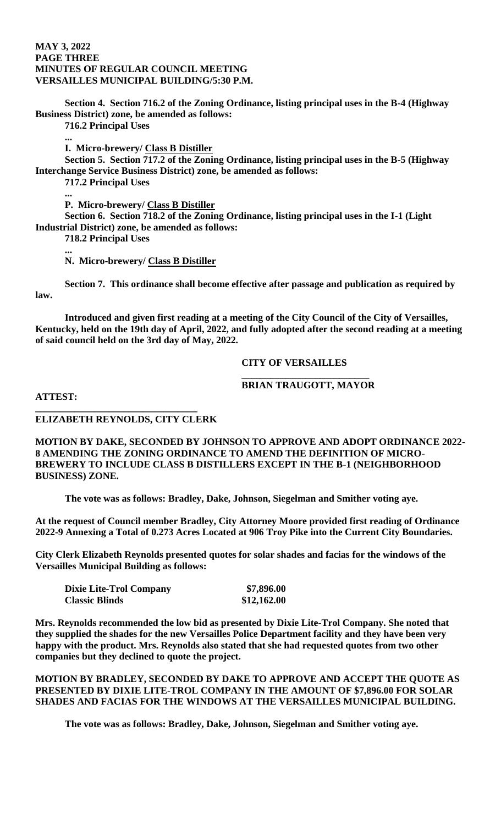#### **MAY 3, 2022 PAGE THREE MINUTES OF REGULAR COUNCIL MEETING VERSAILLES MUNICIPAL BUILDING/5:30 P.M.**

**Section 4. Section 716.2 of the Zoning Ordinance, listing principal uses in the B-4 (Highway Business District) zone, be amended as follows:**

**716.2 Principal Uses**

**...**

**I. Micro-brewery/ Class B Distiller**

**Section 5. Section 717.2 of the Zoning Ordinance, listing principal uses in the B-5 (Highway Interchange Service Business District) zone, be amended as follows:**

**717.2 Principal Uses**

**... P. Micro-brewery/ Class B Distiller**

**Section 6. Section 718.2 of the Zoning Ordinance, listing principal uses in the I-1 (Light Industrial District) zone, be amended as follows:**

**718.2 Principal Uses**

**... N. Micro-brewery/ Class B Distiller**

**Section 7. This ordinance shall become effective after passage and publication as required by law.**

**Introduced and given first reading at a meeting of the City Council of the City of Versailles, Kentucky, held on the 19th day of April, 2022, and fully adopted after the second reading at a meeting of said council held on the 3rd day of May, 2022.**

## **CITY OF VERSAILLES**

#### **\_\_\_\_\_\_\_\_\_\_\_\_\_\_\_\_\_\_\_\_\_\_\_\_\_\_ BRIAN TRAUGOTT, MAYOR**

**ATTEST:**

## **ELIZABETH REYNOLDS, CITY CLERK**

**\_\_\_\_\_\_\_\_\_\_\_\_\_\_\_\_\_\_\_\_\_\_\_\_\_\_\_\_\_\_\_\_\_** 

**MOTION BY DAKE, SECONDED BY JOHNSON TO APPROVE AND ADOPT ORDINANCE 2022- 8 AMENDING THE ZONING ORDINANCE TO AMEND THE DEFINITION OF MICRO-BREWERY TO INCLUDE CLASS B DISTILLERS EXCEPT IN THE B-1 (NEIGHBORHOOD BUSINESS) ZONE.** 

**The vote was as follows: Bradley, Dake, Johnson, Siegelman and Smither voting aye.**

**At the request of Council member Bradley, City Attorney Moore provided first reading of Ordinance 2022-9 Annexing a Total of 0.273 Acres Located at 906 Troy Pike into the Current City Boundaries.** 

**City Clerk Elizabeth Reynolds presented quotes for solar shades and facias for the windows of the Versailles Municipal Building as follows:**

| <b>Dixie Lite-Trol Company</b> | \$7,896.00  |
|--------------------------------|-------------|
| <b>Classic Blinds</b>          | \$12,162.00 |

**Mrs. Reynolds recommended the low bid as presented by Dixie Lite-Trol Company. She noted that they supplied the shades for the new Versailles Police Department facility and they have been very happy with the product. Mrs. Reynolds also stated that she had requested quotes from two other companies but they declined to quote the project.** 

**MOTION BY BRADLEY, SECONDED BY DAKE TO APPROVE AND ACCEPT THE QUOTE AS PRESENTED BY DIXIE LITE-TROL COMPANY IN THE AMOUNT OF \$7,896.00 FOR SOLAR SHADES AND FACIAS FOR THE WINDOWS AT THE VERSAILLES MUNICIPAL BUILDING.** 

**The vote was as follows: Bradley, Dake, Johnson, Siegelman and Smither voting aye.**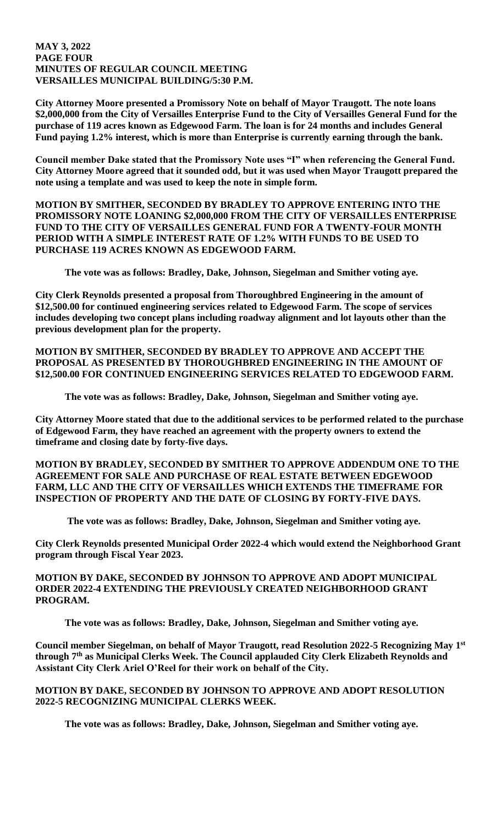#### **MAY 3, 2022 PAGE FOUR MINUTES OF REGULAR COUNCIL MEETING VERSAILLES MUNICIPAL BUILDING/5:30 P.M.**

**City Attorney Moore presented a Promissory Note on behalf of Mayor Traugott. The note loans \$2,000,000 from the City of Versailles Enterprise Fund to the City of Versailles General Fund for the purchase of 119 acres known as Edgewood Farm. The loan is for 24 months and includes General Fund paying 1.2% interest, which is more than Enterprise is currently earning through the bank.** 

**Council member Dake stated that the Promissory Note uses "I" when referencing the General Fund. City Attorney Moore agreed that it sounded odd, but it was used when Mayor Traugott prepared the note using a template and was used to keep the note in simple form.** 

**MOTION BY SMITHER, SECONDED BY BRADLEY TO APPROVE ENTERING INTO THE PROMISSORY NOTE LOANING \$2,000,000 FROM THE CITY OF VERSAILLES ENTERPRISE FUND TO THE CITY OF VERSAILLES GENERAL FUND FOR A TWENTY-FOUR MONTH PERIOD WITH A SIMPLE INTEREST RATE OF 1.2% WITH FUNDS TO BE USED TO PURCHASE 119 ACRES KNOWN AS EDGEWOOD FARM.** 

**The vote was as follows: Bradley, Dake, Johnson, Siegelman and Smither voting aye.**

**City Clerk Reynolds presented a proposal from Thoroughbred Engineering in the amount of \$12,500.00 for continued engineering services related to Edgewood Farm. The scope of services includes developing two concept plans including roadway alignment and lot layouts other than the previous development plan for the property.** 

**MOTION BY SMITHER, SECONDED BY BRADLEY TO APPROVE AND ACCEPT THE PROPOSAL AS PRESENTED BY THOROUGHBRED ENGINEERING IN THE AMOUNT OF \$12,500.00 FOR CONTINUED ENGINEERING SERVICES RELATED TO EDGEWOOD FARM.** 

**The vote was as follows: Bradley, Dake, Johnson, Siegelman and Smither voting aye.**

**City Attorney Moore stated that due to the additional services to be performed related to the purchase of Edgewood Farm, they have reached an agreement with the property owners to extend the timeframe and closing date by forty-five days.** 

**MOTION BY BRADLEY, SECONDED BY SMITHER TO APPROVE ADDENDUM ONE TO THE AGREEMENT FOR SALE AND PURCHASE OF REAL ESTATE BETWEEN EDGEWOOD FARM, LLC AND THE CITY OF VERSAILLES WHICH EXTENDS THE TIMEFRAME FOR INSPECTION OF PROPERTY AND THE DATE OF CLOSING BY FORTY-FIVE DAYS.** 

**The vote was as follows: Bradley, Dake, Johnson, Siegelman and Smither voting aye.**

**City Clerk Reynolds presented Municipal Order 2022-4 which would extend the Neighborhood Grant program through Fiscal Year 2023.** 

# **MOTION BY DAKE, SECONDED BY JOHNSON TO APPROVE AND ADOPT MUNICIPAL ORDER 2022-4 EXTENDING THE PREVIOUSLY CREATED NEIGHBORHOOD GRANT PROGRAM.**

**The vote was as follows: Bradley, Dake, Johnson, Siegelman and Smither voting aye.**

**Council member Siegelman, on behalf of Mayor Traugott, read Resolution 2022-5 Recognizing May 1st through 7th as Municipal Clerks Week. The Council applauded City Clerk Elizabeth Reynolds and Assistant City Clerk Ariel O'Reel for their work on behalf of the City.** 

# **MOTION BY DAKE, SECONDED BY JOHNSON TO APPROVE AND ADOPT RESOLUTION 2022-5 RECOGNIZING MUNICIPAL CLERKS WEEK.**

**The vote was as follows: Bradley, Dake, Johnson, Siegelman and Smither voting aye.**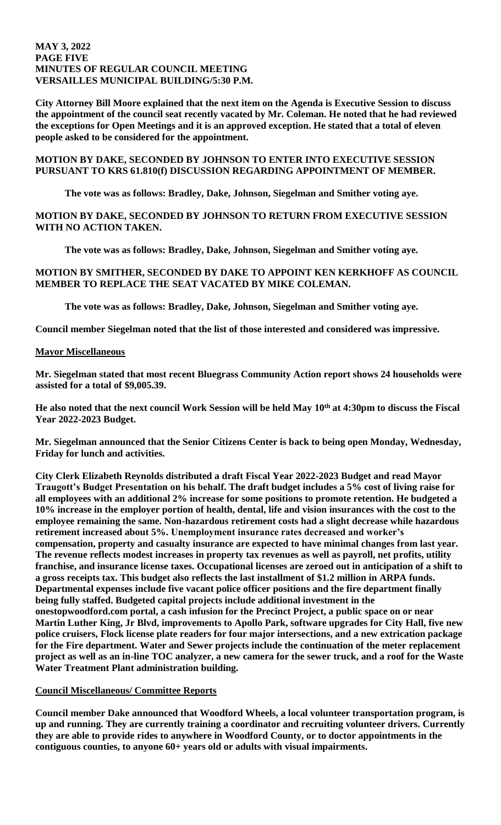#### **MAY 3, 2022 PAGE FIVE MINUTES OF REGULAR COUNCIL MEETING VERSAILLES MUNICIPAL BUILDING/5:30 P.M.**

**City Attorney Bill Moore explained that the next item on the Agenda is Executive Session to discuss the appointment of the council seat recently vacated by Mr. Coleman. He noted that he had reviewed the exceptions for Open Meetings and it is an approved exception. He stated that a total of eleven people asked to be considered for the appointment.** 

# **MOTION BY DAKE, SECONDED BY JOHNSON TO ENTER INTO EXECUTIVE SESSION PURSUANT TO KRS 61.810(f) DISCUSSION REGARDING APPOINTMENT OF MEMBER.**

**The vote was as follows: Bradley, Dake, Johnson, Siegelman and Smither voting aye.**

# **MOTION BY DAKE, SECONDED BY JOHNSON TO RETURN FROM EXECUTIVE SESSION WITH NO ACTION TAKEN.**

**The vote was as follows: Bradley, Dake, Johnson, Siegelman and Smither voting aye.**

# **MOTION BY SMITHER, SECONDED BY DAKE TO APPOINT KEN KERKHOFF AS COUNCIL MEMBER TO REPLACE THE SEAT VACATED BY MIKE COLEMAN.**

**The vote was as follows: Bradley, Dake, Johnson, Siegelman and Smither voting aye.**

**Council member Siegelman noted that the list of those interested and considered was impressive.** 

# **Mayor Miscellaneous**

**Mr. Siegelman stated that most recent Bluegrass Community Action report shows 24 households were assisted for a total of \$9,005.39.** 

**He also noted that the next council Work Session will be held May 10th at 4:30pm to discuss the Fiscal Year 2022-2023 Budget.** 

**Mr. Siegelman announced that the Senior Citizens Center is back to being open Monday, Wednesday, Friday for lunch and activities.** 

**City Clerk Elizabeth Reynolds distributed a draft Fiscal Year 2022-2023 Budget and read Mayor Traugott's Budget Presentation on his behalf. The draft budget includes a 5% cost of living raise for all employees with an additional 2% increase for some positions to promote retention. He budgeted a 10% increase in the employer portion of health, dental, life and vision insurances with the cost to the employee remaining the same. Non-hazardous retirement costs had a slight decrease while hazardous retirement increased about 5%. Unemployment insurance rates decreased and worker's compensation, property and casualty insurance are expected to have minimal changes from last year. The revenue reflects modest increases in property tax revenues as well as payroll, net profits, utility franchise, and insurance license taxes. Occupational licenses are zeroed out in anticipation of a shift to a gross receipts tax. This budget also reflects the last installment of \$1.2 million in ARPA funds. Departmental expenses include five vacant police officer positions and the fire department finally being fully staffed. Budgeted capital projects include additional investment in the onestopwoodford.com portal, a cash infusion for the Precinct Project, a public space on or near Martin Luther King, Jr Blvd, improvements to Apollo Park, software upgrades for City Hall, five new police cruisers, Flock license plate readers for four major intersections, and a new extrication package for the Fire department. Water and Sewer projects include the continuation of the meter replacement project as well as an in-line TOC analyzer, a new camera for the sewer truck, and a roof for the Waste Water Treatment Plant administration building.** 

# **Council Miscellaneous/ Committee Reports**

**Council member Dake announced that Woodford Wheels, a local volunteer transportation program, is up and running. They are currently training a coordinator and recruiting volunteer drivers. Currently they are able to provide rides to anywhere in Woodford County, or to doctor appointments in the contiguous counties, to anyone 60+ years old or adults with visual impairments.**